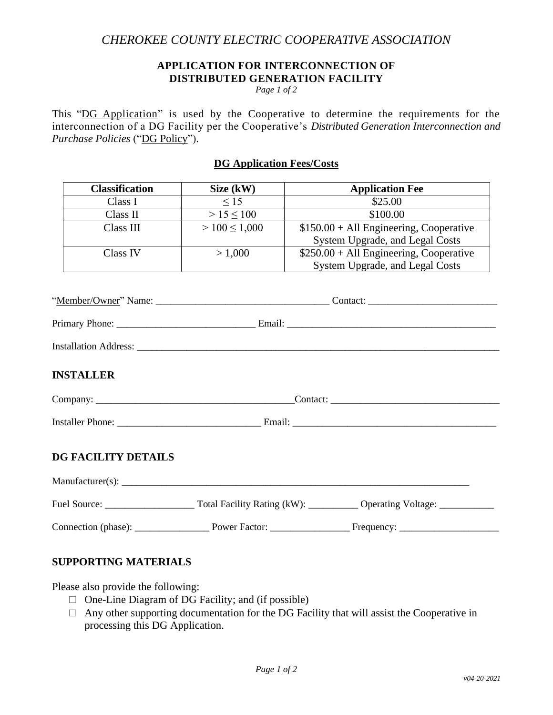## *CHEROKEE COUNTY ELECTRIC COOPERATIVE ASSOCIATION*

#### **APPLICATION FOR INTERCONNECTION OF DISTRIBUTED GENERATION FACILITY**

*Page 1 of 2*

This "DG Application" is used by the Cooperative to determine the requirements for the interconnection of a DG Facility per the Cooperative's *Distributed Generation Interconnection and Purchase Policies* ("DG Policy").

#### **DG Application Fees/Costs**

| <b>Classification</b> | Size (kW)        | <b>Application Fee</b>                   |
|-----------------------|------------------|------------------------------------------|
| Class I               | $\leq 15$        | \$25.00                                  |
| Class II              | > 15 < 100       | \$100.00                                 |
| Class III             | $>100 \le 1,000$ | $$150.00 + Al1$ Engineering, Cooperative |
|                       |                  | System Upgrade, and Legal Costs          |
| Class IV              | > 1,000          | $$250.00 + All Engineering, Cooperative$ |
|                       |                  | System Upgrade, and Legal Costs          |

| "Member/Owner" N | Name: |  |
|------------------|-------|--|
|                  |       |  |
|                  |       |  |

| Primary<br>-<br><u>DL.</u><br>one<br>. | $1 - 2 - 3$<br>. |  |
|----------------------------------------|------------------|--|
|                                        |                  |  |

| $\mathbf{r}$ $\mathbf{r}$ $\mathbf{r}$<br>Installation Address: |
|-----------------------------------------------------------------|
|-----------------------------------------------------------------|

## **INSTALLER**

| $\sim$<br>$\mathbf{v}$ and the state of the state of $\mathbf{v}$<br>$\sim$ $\sim$<br>ошрану<br>. | ontact |
|---------------------------------------------------------------------------------------------------|--------|
|                                                                                                   |        |

Installer Phone: \_\_\_\_\_\_\_\_\_\_\_\_\_\_\_\_\_\_\_\_\_\_\_\_\_\_\_\_\_ Email: \_\_\_\_\_\_\_\_\_\_\_\_\_\_\_\_\_\_\_\_\_\_\_\_\_\_\_\_\_\_\_\_\_\_\_\_\_\_\_\_\_

## **DG FACILITY DETAILS**

| $M$ anufacturer $(s)$ : |                             |                           |  |  |
|-------------------------|-----------------------------|---------------------------|--|--|
| Fuel Source:            | Total Facility Rating (kW): | <b>Operating Voltage:</b> |  |  |
| Connection (phase):     | Power Factor:               | Frequency:                |  |  |

## **SUPPORTING MATERIALS**

Please also provide the following:

- $\Box$  One-Line Diagram of DG Facility; and (if possible)
- $\Box$  Any other supporting documentation for the DG Facility that will assist the Cooperative in processing this DG Application.